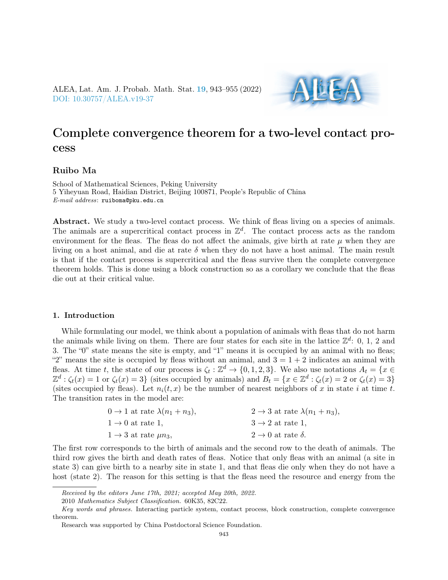ALEA, Lat. Am. J. Probab. Math. Stat. [19](http://alea.impa.br/english/index_v19.htm), 943–955 (2022) [DOI: 10.30757/ALEA.v19-37](https://doi.org/10.30757/ALEA.v19-37)

# Complete convergence theorem for a two-level contact process

## Ruibo Ma

School of Mathematical Sciences, Peking University 5 Yiheyuan Road, Haidian District, Beijing 100871, People's Republic of China E-mail address: ruiboma@pku.edu.cn

Abstract. We study a two-level contact process. We think of fleas living on a species of animals. The animals are a supercritical contact process in  $\mathbb{Z}^d$ . The contact process acts as the random environment for the fleas. The fleas do not affect the animals, give birth at rate  $\mu$  when they are living on a host animal, and die at rate  $\delta$  when they do not have a host animal. The main result is that if the contact process is supercritical and the fleas survive then the complete convergence theorem holds. This is done using a block construction so as a corollary we conclude that the fleas die out at their critical value.

### 1. Introduction

While formulating our model, we think about a population of animals with fleas that do not harm the animals while living on them. There are four states for each site in the lattice  $\mathbb{Z}^d$ : 0, 1, 2 and 3. The "0" state means the site is empty, and "1" means it is occupied by an animal with no fleas; "2" means the site is occupied by fleas without an animal, and  $3 = 1 + 2$  indicates an animal with fleas. At time t, the state of our process is  $\zeta_t : \mathbb{Z}^d \to \{0, 1, 2, 3\}$ . We also use notations  $A_t = \{x \in \mathbb{Z}^d : t \in \mathbb{Z}^d\}$  $\mathbb{Z}^d$ :  $\zeta_t(x) = 1$  or  $\zeta_t(x) = 3$  (sites occupied by animals) and  $B_t = \{x \in \mathbb{Z}^d : \zeta_t(x) = 2$  or  $\zeta_t(x) = 3\}$ (sites occupied by fleas). Let  $n_i(t, x)$  be the number of nearest neighbors of x in state i at time t. The transition rates in the model are:

| $0 \rightarrow 1$ at rate $\lambda(n_1+n_3)$ , | $2 \rightarrow 3$ at rate $\lambda(n_1+n_3)$ , |
|------------------------------------------------|------------------------------------------------|
| $1 \rightarrow 0$ at rate 1.                   | $3 \rightarrow 2$ at rate 1,                   |
| $1 \rightarrow 3$ at rate $\mu n_3$ ,          | $2 \rightarrow 0$ at rate $\delta$ .           |

The first row corresponds to the birth of animals and the second row to the death of animals. The third row gives the birth and death rates of fleas. Notice that only fleas with an animal (a site in state 3) can give birth to a nearby site in state 1, and that fleas die only when they do not have a host (state 2). The reason for this setting is that the fleas need the resource and energy from the

Received by the editors June 17th, 2021; accepted May 20th, 2022.

<sup>2010</sup> Mathematics Subject Classification. 60K35, 82C22.

Key words and phrases. Interacting particle system, contact process, block construction, complete convergence theorem.

Research was supported by China Postdoctoral Science Foundation.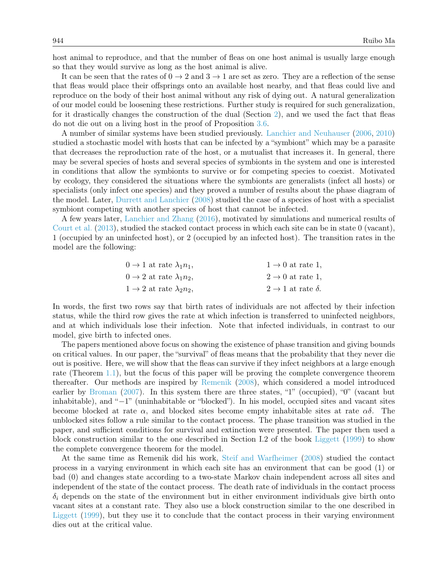host animal to reproduce, and that the number of fleas on one host animal is usually large enough so that they would survive as long as the host animal is alive.

It can be seen that the rates of  $0 \to 2$  and  $3 \to 1$  are set as zero. They are a reflection of the sense that fleas would place their offsprings onto an available host nearby, and that fleas could live and reproduce on the body of their host animal without any risk of dying out. A natural generalization of our model could be loosening these restrictions. Further study is required for such generalization, for it drastically changes the construction of the dual (Section [2\)](#page-3-0), and we used the fact that fleas do not die out on a living host in the proof of Proposition [3.6.](#page-7-0)

A number of similar systems have been studied previously. [Lanchier and Neuhauser](#page-12-0) [\(2006,](#page-12-0) [2010\)](#page-12-1) studied a stochastic model with hosts that can be infected by a "symbiont" which may be a parasite that decreases the reproduction rate of the host, or a mutualist that increases it. In general, there may be several species of hosts and several species of symbionts in the system and one is interested in conditions that allow the symbionts to survive or for competing species to coexist. Motivated by ecology, they considered the situations where the symbionts are generalists (infect all hosts) or specialists (only infect one species) and they proved a number of results about the phase diagram of the model. Later, [Durrett and Lanchier](#page-12-2) [\(2008\)](#page-12-2) studied the case of a species of host with a specialist symbiont competing with another species of host that cannot be infected.

A few years later, [Lanchier and Zhang](#page-12-3) [\(2016\)](#page-12-3), motivated by simulations and numerical results of [Court et al.](#page-12-4) [\(2013\)](#page-12-4), studied the stacked contact process in which each site can be in state 0 (vacant), 1 (occupied by an uninfected host), or 2 (occupied by an infected host). The transition rates in the model are the following:

| $0 \rightarrow 1$ at rate $\lambda_1 n_1$ , | $1 \rightarrow 0$ at rate 1,         |
|---------------------------------------------|--------------------------------------|
| $0 \rightarrow 2$ at rate $\lambda_1 n_2$ , | $2 \rightarrow 0$ at rate 1,         |
| $1 \rightarrow 2$ at rate $\lambda_2 n_2$ , | $2 \rightarrow 1$ at rate $\delta$ . |

In words, the first two rows say that birth rates of individuals are not affected by their infection status, while the third row gives the rate at which infection is transferred to uninfected neighbors, and at which individuals lose their infection. Note that infected individuals, in contrast to our model, give birth to infected ones.

The papers mentioned above focus on showing the existence of phase transition and giving bounds on critical values. In our paper, the "survival" of fleas means that the probability that they never die out is positive. Here, we will show that the fleas can survive if they infect neighbors at a large enough rate (Theorem [1.1\)](#page-2-0), but the focus of this paper will be proving the complete convergence theorem thereafter. Our methods are inspired by [Remenik](#page-12-5) [\(2008\)](#page-12-5), which considered a model introduced earlier by [Broman](#page-12-6) [\(2007\)](#page-12-6). In this system there are three states, "1" (occupied), "0" (vacant but inhabitable), and "−1" (uninhabitable or "blocked"). In his model, occupied sites and vacant sites become blocked at rate  $\alpha$ , and blocked sites become empty inhabitable sites at rate  $\alpha\delta$ . The unblocked sites follow a rule similar to the contact process. The phase transition was studied in the paper, and sufficient conditions for survival and extinction were presented. The paper then used a block construction similar to the one described in Section I.2 of the book [Liggett](#page-12-7) [\(1999\)](#page-12-7) to show the complete convergence theorem for the model.

At the same time as Remenik did his work, [Steif and Warfheimer](#page-12-8) [\(2008\)](#page-12-8) studied the contact process in a varying environment in which each site has an environment that can be good (1) or bad (0) and changes state according to a two-state Markov chain independent across all sites and independent of the state of the contact process. The death rate of individuals in the contact process  $\delta_i$  depends on the state of the environment but in either environment individuals give birth onto vacant sites at a constant rate. They also use a block construction similar to the one described in [Liggett](#page-12-7) [\(1999\)](#page-12-7), but they use it to conclude that the contact process in their varying environment dies out at the critical value.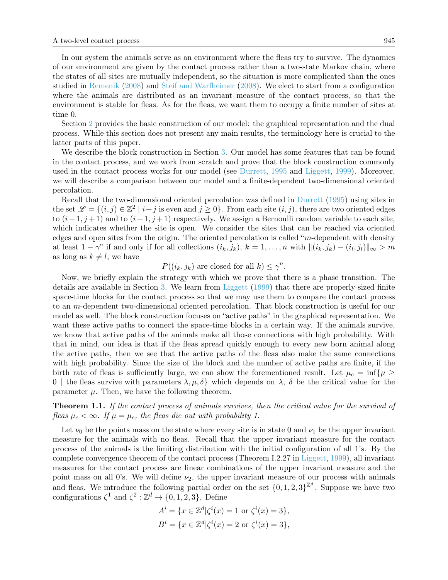In our system the animals serve as an environment where the fleas try to survive. The dynamics of our environment are given by the contact process rather than a two-state Markov chain, where the states of all sites are mutually independent, so the situation is more complicated than the ones studied in [Remenik](#page-12-5) [\(2008\)](#page-12-5) and [Steif and Warfheimer](#page-12-8) [\(2008\)](#page-12-8). We elect to start from a configuration where the animals are distributed as an invariant measure of the contact process, so that the environment is stable for fleas. As for the fleas, we want them to occupy a finite number of sites at time 0.

Section [2](#page-3-0) provides the basic construction of our model: the graphical representation and the dual process. While this section does not present any main results, the terminology here is crucial to the latter parts of this paper.

We describe the block construction in Section [3.](#page-4-0) Our model has some features that can be found in the contact process, and we work from scratch and prove that the block construction commonly used in the contact process works for our model (see [Durrett,](#page-12-9) [1995](#page-12-9) and [Liggett,](#page-12-7) [1999\)](#page-12-7). Moreover, we will describe a comparison between our model and a finite-dependent two-dimensional oriented percolation.

Recall that the two-dimensional oriented percolation was defined in [Durrett](#page-12-9) [\(1995\)](#page-12-9) using sites in the set  $\mathscr{L} = \{(i, j) \in \mathbb{Z}^2 \mid i + j \text{ is even and } j \geq 0\}$ . From each site  $(i, j)$ , there are two oriented edges to  $(i-1, j+1)$  and to  $(i+1, j+1)$  respectively. We assign a Bernoulli random variable to each site, which indicates whether the site is open. We consider the sites that can be reached via oriented edges and open sites from the origin. The oriented percolation is called " $m$ -dependent with density at least  $1 - \gamma$ " if and only if for all collections  $(i_k, j_k)$ ,  $k = 1, \ldots, n$  with  $\|(i_k, j_k) - (i_l, j_l)\|_{\infty} > m$ as long as  $k \neq l$ , we have

 $P((i_k, j_k)$  are closed for all  $k) \leq \gamma^n$ .

Now, we briefly explain the strategy with which we prove that there is a phase transition. The details are available in Section [3.](#page-4-0) We learn from [Liggett](#page-12-7) [\(1999\)](#page-12-7) that there are properly-sized finite space-time blocks for the contact process so that we may use them to compare the contact process to an m-dependent two-dimensional oriented percolation. That block construction is useful for our model as well. The block construction focuses on "active paths" in the graphical representation. We want these active paths to connect the space-time blocks in a certain way. If the animals survive, we know that active paths of the animals make all those connections with high probability. With that in mind, our idea is that if the fleas spread quickly enough to every new born animal along the active paths, then we see that the active paths of the fleas also make the same connections with high probability. Since the size of the block and the number of active paths are finite, if the birth rate of fleas is sufficiently large, we can show the forementioned result. Let  $\mu_c = \inf \{ \mu \geq$ 0 | the fleas survive with parameters  $\lambda, \mu, \delta$ } which depends on  $\lambda$ ,  $\delta$  be the critical value for the parameter  $\mu$ . Then, we have the following theorem.

<span id="page-2-0"></span>Theorem 1.1. If the contact process of animals survives, then the critical value for the survival of fleas  $\mu_c < \infty$ . If  $\mu = \mu_c$ , the fleas die out with probability 1.

Let  $\nu_0$  be the points mass on the state where every site is in state 0 and  $\nu_1$  be the upper invariant measure for the animals with no fleas. Recall that the upper invariant measure for the contact process of the animals is the limiting distribution with the initial configuration of all 1's. By the complete convergence theorem of the contact process (Theorem I.2.27 in [Liggett,](#page-12-7) [1999\)](#page-12-7), all invariant measures for the contact process are linear combinations of the upper invariant measure and the point mass on all 0's. We will define  $\nu_2$ , the upper invariant measure of our process with animals and fleas. We introduce the following partial order on the set  $\{0, 1, 2, 3\}^{\mathbb{Z}^d}$ . Suppose we have two configurations  $\zeta^1$  and  $\zeta^2 : \mathbb{Z}^d \to \{0, 1, 2, 3\}$ . Define

$$
A^{i} = \{x \in \mathbb{Z}^{d} | \zeta^{i}(x) = 1 \text{ or } \zeta^{i}(x) = 3 \},
$$
  

$$
B^{i} = \{x \in \mathbb{Z}^{d} | \zeta^{i}(x) = 2 \text{ or } \zeta^{i}(x) = 3 \},
$$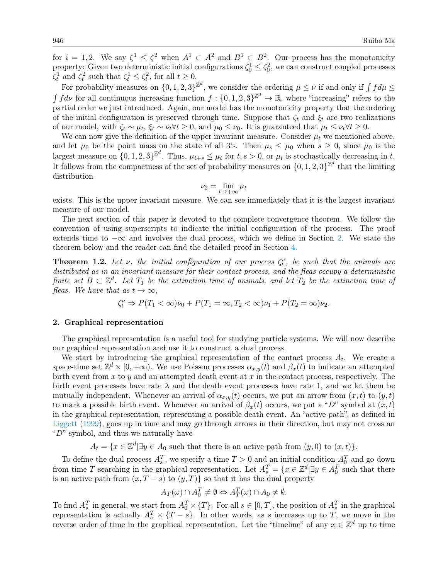for  $i = 1, 2$ . We say  $\zeta^1 \leq \zeta^2$  when  $A^1 \subset A^2$  and  $B^1 \subset B^2$ . Our process has the monotonicity property: Given two deterministic initial configurations  $\zeta_0^1 \leq \zeta_0^2$ , we can construct coupled processes  $\zeta_t^1$  and  $\zeta_t^2$  such that  $\zeta_t^1 \leq \zeta_t^2$ , for all  $t \geq 0$ .

For probability measures on  $\{0, 1, 2, 3\}^{\mathbb{Z}^d}$ , we consider the ordering  $\mu \leq \nu$  if and only if  $\int f d\mu \leq$  $\int f d\nu$  for all continuous increasing function  $f: \{0, 1, 2, 3\}^{\mathbb{Z}^d} \to \mathbb{R}$ , where "increasing" refers to the partial order we just introduced. Again, our model has the monotonicity property that the ordering of the initial configuration is preserved through time. Suppose that  $\zeta_t$  and  $\xi_t$  are two realizations of our model, with  $\zeta_t \sim \mu_t$ ,  $\xi_t \sim \nu_t \forall t \geq 0$ , and  $\mu_0 \leq \nu_0$ . It is guaranteed that  $\mu_t \leq \nu_t \forall t \geq 0$ .

We can now give the definition of the upper invariant measure. Consider  $\mu_t$  we mentioned above, and let  $\mu_0$  be the point mass on the state of all 3's. Then  $\mu_s \leq \mu_0$  when  $s \geq 0$ , since  $\mu_0$  is the largest measure on  $\{0, 1, 2, 3\}^{\mathbb{Z}^d}$ . Thus,  $\mu_{t+s} \leq \mu_t$  for  $t, s > 0$ , or  $\mu_t$  is stochastically decreasing in t. It follows from the compactness of the set of probability measures on  $\{0, 1, 2, 3\}^{\mathbb{Z}^d}$  that the limiting distribution

$$
\nu_2 = \lim_{t \to +\infty} \mu_t
$$

exists. This is the upper invariant measure. We can see immediately that it is the largest invariant measure of our model.

The next section of this paper is devoted to the complete convergence theorem. We follow the convention of using superscripts to indicate the initial configuration of the process. The proof extends time to  $-\infty$  and involves the dual process, which we define in Section [2.](#page-3-0) We state the theorem below and the reader can find the detailed proof in Section [4.](#page-8-0)

<span id="page-3-1"></span>**Theorem 1.2.** Let  $\nu$ , the initial configuration of our process  $\zeta_t^{\nu}$ , be such that the animals are distributed as in an invariant measure for their contact process, and the fleas occupy a deterministic finite set  $B \subset \mathbb{Z}^d$ . Let  $T_1$  be the extinction time of animals, and let  $T_2$  be the extinction time of fleas. We have that as  $t \to \infty$ ,

$$
\zeta_t^{\nu} \Rightarrow P(T_1 < \infty)\nu_0 + P(T_1 = \infty, T_2 < \infty)\nu_1 + P(T_2 = \infty)\nu_2.
$$

#### <span id="page-3-0"></span>2. Graphical representation

The graphical representation is a useful tool for studying particle systems. We will now describe our graphical representation and use it to construct a dual process.

We start by introducing the graphical representation of the contact process  $A_t$ . We create a space-time set  $\mathbb{Z}^d \times [0, +\infty)$ . We use Poisson processes  $\alpha_{x,y}(t)$  and  $\beta_x(t)$  to indicate an attempted birth event from  $x$  to  $y$  and an attempted death event at  $x$  in the contact process, respectively. The birth event processes have rate  $\lambda$  and the death event processes have rate 1, and we let them be mutually independent. Whenever an arrival of  $\alpha_{x,y}(t)$  occurs, we put an arrow from  $(x, t)$  to  $(y, t)$ to mark a possible birth event. Whenever an arrival of  $\beta_x(t)$  occurs, we put a "D" symbol at  $(x, t)$ in the graphical representation, representing a possible death event. An "active path", as defined in [Liggett](#page-12-7) [\(1999\)](#page-12-7), goes up in time and may go through arrows in their direction, but may not cross an " $D$ " symbol, and thus we naturally have

 $A_t = \{x \in \mathbb{Z}^d | \exists y \in A_0 \text{ such that there is an active path from } (y,0) \text{ to } (x,t)\}.$ 

To define the dual process  $A_s^T$ , we specify a time  $T > 0$  and an initial condition  $A_0^T$  and go down from time T searching in the graphical representation. Let  $A_s^T = \{x \in \mathbb{Z}^d | \exists y \in A_0^T \text{ such that there} \}$ is an active path from  $(x, T - s)$  to  $(y, T)$  so that it has the dual property

$$
A_T(\omega) \cap A_0^T \neq \emptyset \Leftrightarrow A_T^T(\omega) \cap A_0 \neq \emptyset.
$$

To find  $A_s^T$  in general, we start from  $A_0^T \times \{T\}$ . For all  $s \in [0, T]$ , the position of  $A_s^T$  in the graphical representation is actually  $A_s^T \times \{T-s\}$ . In other words, as s increases up to T, we move in the reverse order of time in the graphical representation. Let the "timeline" of any  $x \in \mathbb{Z}^d$  up to time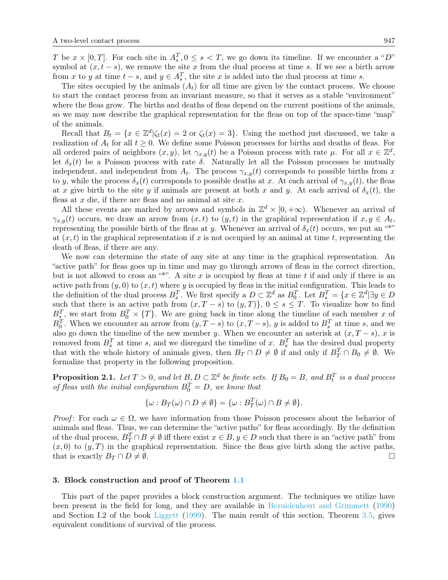T be  $x \times [0,T]$ . For each site in  $A_s^T$ ,  $0 \le s < T$ , we go down its timeline. If we encounter a "D" symbol at  $(x, t - s)$ , we remove the site x from the dual process at time s. If we see a birth arrow from x to y at time  $t - s$ , and  $y \in A_s^T$ , the site x is added into the dual process at time s.

The sites occupied by the animals  $(A_t)$  for all time are given by the contact process. We choose to start the contact process from an invariant measure, so that it serves as a stable "environment" where the fleas grow. The births and deaths of fleas depend on the current positions of the animals, so we may now describe the graphical representation for the fleas on top of the space-time "map" of the animals.

Recall that  $B_t = \{x \in \mathbb{Z}^d | \zeta_t(x) = 2 \text{ or } \zeta_t(x) = 3\}.$  Using the method just discussed, we take a realization of  $A_t$  for all  $t \geq 0$ . We define some Poisson processes for births and deaths of fleas. For all ordered pairs of neighbors  $(x, y)$ , let  $\gamma_{x,y}(t)$  be a Poisson process with rate  $\mu$ . For all  $x \in \mathbb{Z}^d$ , let  $\delta_x(t)$  be a Poisson process with rate  $\delta$ . Naturally let all the Poisson processes be mutually independent, and independent from  $A_t$ . The process  $\gamma_{x,y}(t)$  corresponds to possible births from x to y, while the process  $\delta_x(t)$  corresponds to possible deaths at x. At each arrival of  $\gamma_{x,y}(t)$ , the fleas at x give birth to the site y if animals are present at both x and y. At each arrival of  $\delta_x(t)$ , the fleas at  $x$  die, if there are fleas and no animal at site  $x$ .

All these events are marked by arrows and symbols in  $\mathbb{Z}^d \times [0, +\infty)$ . Whenever an arrival of  $\gamma_{x,y}(t)$  occurs, we draw an arrow from  $(x,t)$  to  $(y,t)$  in the graphical representation if  $x, y \in A_t$ , representing the possible birth of the fleas at y. Whenever an arrival of  $\delta_x(t)$  occurs, we put an "\*" at  $(x, t)$  in the graphical representation if x is not occupied by an animal at time t, representing the death of fleas, if there are any.

We now can determine the state of any site at any time in the graphical representation. An "active path" for fleas goes up in time and may go through arrows of fleas in the correct direction, but is not allowed to cross an "\*". A site x is occupied by fleas at time t if and only if there is an active path from  $(y, 0)$  to  $(x, t)$  where y is occupied by fleas in the initial configuration. This leads to the definition of the dual process  $B_s^T$ . We first specify a  $D \subset \mathbb{Z}^d$  as  $B_0^T$ . Let  $B_s^T = \{x \in \mathbb{Z}^d | \exists y \in D\}$ such that there is an active path from  $(x, T - s)$  to  $(y, T)$ ,  $0 \le s \le T$ . To visualize how to find  $B_s^T$ , we start from  $B_0^T \times \{T\}$ . We are going back in time along the timeline of each member x of  $B_0^T$ . When we encounter an arrow from  $(y, T - s)$  to  $(x, T - s)$ , y is added to  $B_s^T$  at time s, and we also go down the timeline of the new member y. When we encounter an asterisk at  $(x, T - s)$ , x is removed from  $B_s^T$  at time s, and we disregard the timeline of x.  $B_s^T$  has the desired dual property that with the whole history of animals given, then  $B_T \cap D \neq \emptyset$  if and only if  $B_T^T \cap B_0 \neq \emptyset$ . We formalize that property in the following proposition.

**Proposition 2.1.** Let  $T > 0$ , and let  $B, D \subset \mathbb{Z}^d$  be finite sets. If  $B_0 = B$ , and  $B_t^T$  is a dual process of fleas with the initial configuration  $B_0^T = D$ , we know that

$$
\{\omega : B_T(\omega) \cap D \neq \emptyset\} = \{\omega : B_T^T(\omega) \cap B \neq \emptyset\}.
$$

*Proof*: For each  $\omega \in \Omega$ , we have information from those Poisson processes about the behavior of animals and fleas. Thus, we can determine the "active paths" for fleas accordingly. By the definition of the dual process,  $B_T^T \cap B \neq \emptyset$  iff there exist  $x \in B, y \in D$  such that there is an "active path" from  $(x, 0)$  to  $(y, T)$  in the graphical representation. Since the fleas give birth along the active paths, that is exactly  $B_T \cap D \neq \emptyset$ .

#### <span id="page-4-0"></span>3. Block construction and proof of Theorem [1.1](#page-2-0)

This part of the paper provides a block construction argument. The techniques we utilize have been present in the field for long, and they are available in [Bezuidenhout and Grimmett](#page-12-10) [\(1990\)](#page-12-10) and Section I.2 of the book [Liggett](#page-12-7) [\(1999\)](#page-12-7). The main result of this section, Theorem [3.5,](#page-7-1) gives equivalent conditions of survival of the process.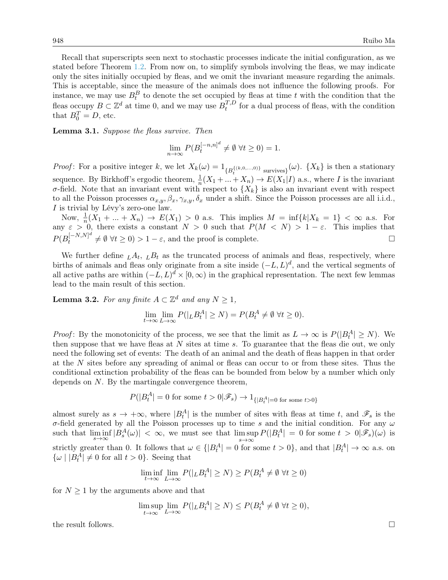Recall that superscripts seen next to stochastic processes indicate the initial configuration, as we stated before Theorem [1.2.](#page-3-1) From now on, to simplify symbols involving the fleas, we may indicate only the sites initially occupied by fleas, and we omit the invariant measure regarding the animals. This is acceptable, since the measure of the animals does not influence the following proofs. For instance, we may use  $B_t^B$  to denote the set occupied by fleas at time t with the condition that the fleas occupy  $B \subset \mathbb{Z}^d$  at time 0, and we may use  $B_t^{T,D}$  $t^{I,D}_t$  for a dual process of fleas, with the condition that  $B_0^T = D$ , etc.

<span id="page-5-1"></span>Lemma 3.1. Suppose the fleas survive. Then

$$
\lim_{n \to \infty} P(B_t^{[-n,n]^d} \neq \emptyset \,\,\forall t \ge 0) = 1.
$$

*Proof*: For a positive integer k, we let  $X_k(\omega) = 1_{\{B_t^{\{(k,0,\ldots,0)\}}}$  survives $\}}(\omega)$ .  $\{X_k\}$  is then a stationary sequence. By Birkhoff's ergodic theorem,  $\frac{1}{n}(X_1 + ... + X_n) \to E(X_1 | I)$  a.s., where I is the invariant σ-field. Note that an invariant event with respect to  ${X_k}$  is also an invariant event with respect to all the Poisson processes  $\alpha_{x,y}, \beta_x, \gamma_{x,y}, \delta_x$  under a shift. Since the Poisson processes are all i.i.d., I is trivial by Lévy's zero-one law.

Now,  $\frac{1}{n}(X_1 + ... + X_n) \to E(X_1) > 0$  a.s. This implies  $M = \inf\{k | X_k = 1\} < \infty$  a.s. For any  $\varepsilon > 0$ , there exists a constant  $N > 0$  such that  $P(M < N) > 1 - \varepsilon$ . This implies that  $P(B_t^{[-N,N]^d}$  $\begin{array}{c} (-N,N)^a \neq \emptyset \ \forall t \geq 0) > 1 - \varepsilon, \text{ and the proof is complete.} \end{array}$ 

We further define  $L A_t$ ,  $L B_t$  as the truncated process of animals and fleas, respectively, where births of animals and fleas only originate from a site inside  $(-L, L)<sup>d</sup>$ , and the vertical segments of all active paths are within  $(-L, L)^d \times [0, \infty)$  in the graphical representation. The next few lemmas lead to the main result of this section.

<span id="page-5-0"></span>**Lemma 3.2.** For any finite  $A \subset \mathbb{Z}^d$  and any  $N \geq 1$ ,

$$
\lim_{t \to \infty} \lim_{L \to \infty} P(|_L B_t^A| \ge N) = P(B_t^A \ne \emptyset \ \forall t \ge 0).
$$

*Proof*: By the monotonicity of the process, we see that the limit as  $L \to \infty$  is  $P(|B_t^A| \ge N)$ . We then suppose that we have fleas at  $N$  sites at time  $s$ . To guarantee that the fleas die out, we only need the following set of events: The death of an animal and the death of fleas happen in that order at the N sites before any spreading of animal or fleas can occur to or from these sites. Thus the conditional extinction probability of the fleas can be bounded from below by a number which only depends on  $N$ . By the martingale convergence theorem,

$$
P(|B_t^A| = 0 \text{ for some } t > 0 | \mathscr{F}_s) \to 1_{\{|B_t^A| = 0 \text{ for some } t > 0\}}
$$

almost surely as  $s \to +\infty$ , where  $|B_t^A|$  is the number of sites with fleas at time t, and  $\mathscr{F}_s$  is the σ-field generated by all the Poisson processes up to time s and the initial condition. For any  $ω$ such that  $\liminf_{s\to\infty} |B_s^A(\omega)| < \infty$ , we must see that  $\limsup_{s\to\infty} P(|B_t^A| = 0$  for some  $t > 0 | \mathscr{F}_s(\omega)$  is s→∞ strictly greater than 0. It follows that  $\omega \in \{ |B_t^A| = 0 \text{ for some } t > 0 \}$ , and that  $|B_t^A| \to \infty$  a.s. on  $\{\omega \mid |B_t^A| \neq 0 \text{ for all } t > 0\}.$  Seeing that

$$
\liminf_{t \to \infty} \lim_{L \to \infty} P(|_L B_t^A| \ge N) \ge P(B_t^A \ne \emptyset \ \forall t \ge 0)
$$

for  $N \geq 1$  by the arguments above and that

$$
\limsup_{t \to \infty} \lim_{L \to \infty} P(|_L B_t^A| \ge N) \le P(B_t^A \ne \emptyset \ \forall t \ge 0),
$$

the result follows.  $\Box$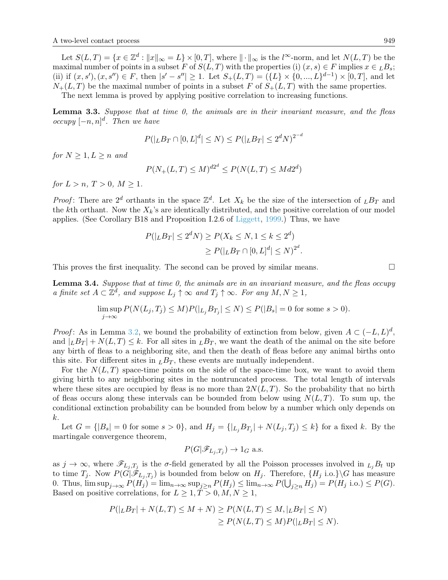Let  $S(L,T) = \{x \in \mathbb{Z}^d : ||x||_{\infty} = L\} \times [0,T]$ , where  $|| \cdot ||_{\infty}$  is the  $l^{\infty}$ -norm, and let  $N(L,T)$  be the maximal number of points in a subset F of  $S(L, T)$  with the properties (i)  $(x, s) \in F$  implies  $x \in {}_L B_s$ ; (ii) if  $(x, s')$ ,  $(x, s'') \in F$ , then  $|s' - s''| \ge 1$ . Let  $S_+(L,T) = (\{L\} \times \{0, ..., L\}^{d-1}) \times [0,T]$ , and let  $N_{+}(L,T)$  be the maximal number of points in a subset F of  $S_{+}(L,T)$  with the same properties.

The next lemma is proved by applying positive correlation to increasing functions.

<span id="page-6-1"></span>Lemma 3.3. Suppose that at time 0, the animals are in their invariant measure, and the fleas occupy  $[-n, n]^d$ . Then we have

$$
P(|_L B_T \cap [0, L]^d | \le N) \le P(|_L B_T | \le 2^d N)^{2^{-d}}
$$

for  $N \geq 1, L \geq n$  and

$$
P(N_+(L,T) \le M)^{d2^d} \le P(N(L,T) \le Md2^d)
$$

for  $L > n$ ,  $T > 0$ ,  $M > 1$ .

*Proof*: There are  $2^d$  orthants in the space  $\mathbb{Z}^d$ . Let  $X_k$  be the size of the intersection of  $L_{\mathcal{B}_T}$  and the kth orthant. Now the  $X_k$ 's are identically distributed, and the positive correlation of our model applies. (See Corollary B18 and Proposition I.2.6 of [Liggett,](#page-12-7) [1999.](#page-12-7)) Thus, we have

$$
P(|_L B_T| \le 2^d N) \ge P(X_k \le N, 1 \le k \le 2^d)
$$
  
 
$$
\ge P(|_L B_T \cap [0, L]^d| \le N)^{2^d}.
$$

This proves the first inequality. The second can be proved by similar means.  $\square$ 

<span id="page-6-0"></span>**Lemma 3.4.** Suppose that at time 0, the animals are in an invariant measure, and the fleas occupy a finite set  $A \subset \mathbb{Z}^d$ , and suppose  $L_j \uparrow \infty$  and  $T_j \uparrow \infty$ . For any  $M, N \geq 1$ ,

$$
\limsup_{j \to \infty} P(N(L_j, T_j) \le M) P(|_{L_j} B_{T_j}| \le N) \le P(|B_s| = 0 \text{ for some } s > 0).
$$

*Proof*: As in Lemma [3.2,](#page-5-0) we bound the probability of extinction from below, given  $A \subset (-L, L)^d$ , and  $|LBT| + N(L,T) \leq k$ . For all sites in  $LBT$ , we want the death of the animal on the site before any birth of fleas to a neighboring site, and then the death of fleas before any animal births onto this site. For different sites in  $LBT$ , these events are mutually independent.

For the  $N(L,T)$  space-time points on the side of the space-time box, we want to avoid them giving birth to any neighboring sites in the nontruncated process. The total length of intervals where these sites are occupied by fleas is no more than  $2N(L,T)$ . So the probability that no birth of fleas occurs along these intervals can be bounded from below using  $N(L, T)$ . To sum up, the conditional extinction probability can be bounded from below by a number which only depends on k.

Let  $G = \{ |B_s| = 0 \text{ for some } s > 0 \}$ , and  $H_j = \{ |L_j B_{T_j}| + N(L_j, T_j) \leq k \}$  for a fixed k. By the martingale convergence theorem,

$$
P(G|\mathscr{F}_{L_j,T_j}) \to 1_G \text{ a.s.}
$$

as  $j \to \infty$ , where  $\mathscr{F}_{L_j,T_j}$  is the  $\sigma$ -field generated by all the Poisson processes involved in  $_{L_j}B_t$  up to time  $T_j$ . Now  $P(G|\mathscr{F}_{L_j,T_j})$  is bounded from below on  $H_j$ . Therefore,  $\{H_j \text{ i.o.}\}\ G$  has measure 0. Thus,  $\limsup_{j\to\infty} P(H_j) = \lim_{n\to\infty} \sup_{j\geq n} P(H_j) \leq \lim_{n\to\infty} P(\bigcup_{j\geq n} H_j) = P(H_j \text{ i.o.}) \leq P(G)$ . Based on positive correlations, for  $L \geq 1, T > 0, M, N \geq 1$ ,

$$
P(|_L B_T| + N(L, T) \le M + N) \ge P(N(L, T) \le M, |_L B_T| \le N)
$$
  
\n
$$
\ge P(N(L, T) \le M)P(|_L B_T| \le N).
$$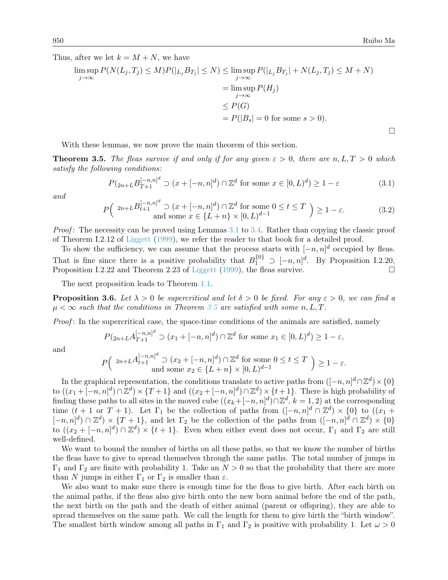$\Box$ 

Thus, after we let  $k = M + N$ , we have

$$
\limsup_{j \to \infty} P(N(L_j, T_j) \le M) P(|_{L_j} B_{T_j}| \le N) \le \limsup_{j \to \infty} P(|_{L_j} B_{T_j}| + N(L_j, T_j) \le M + N)
$$

$$
= \limsup_{j \to \infty} P(H_j)
$$

$$
\le P(G)
$$

$$
= P(|B_s| = 0 \text{ for some } s > 0).
$$

With these lemmas, we now prove the main theorem of this section.

<span id="page-7-1"></span>**Theorem 3.5.** The fleas survive if and only if for any given  $\varepsilon > 0$ , there are n, L, T  $> 0$  which satisfy the following conditions:

<span id="page-7-2"></span>
$$
P_{2n+L} B_{T+1}^{[-n,n]^d} \supset (x + [-n,n]^d) \cap \mathbb{Z}^d \text{ for some } x \in [0,L)^d) \ge 1 - \varepsilon
$$
 (3.1)

and

<span id="page-7-3"></span>
$$
P\left(\begin{array}{c}2n+LB_{t+1}^{[-n,n]^{d}}\supset (x+[-n,n]^{d})\cap \mathbb{Z}^{d} \text{ for some }0\leq t\leq T\\ \text{and some }x\in\{L+n\}\times[0,L)^{d-1}\end{array}\right)\geq 1-\varepsilon.
$$
 (3.2)

Proof: The necessity can be proved using Lemmas [3.1](#page-5-1) to [3.4.](#page-6-0) Rather than copying the classic proof of Theorem I.2.12 of [Liggett](#page-12-7) [\(1999\)](#page-12-7), we refer the reader to that book for a detailed proof.

To show the sufficiency, we can assume that the process starts with  $[-n, n]^d$  occupied by fleas. That is fine since there is a positive probability that  $B_1^{\{0\}} \supset [-n,n]^d$ . By Proposition I.2.20, Proposition I.2.22 and Theorem 2.23 of [Liggett](#page-12-7) [\(1999\)](#page-12-7), the fleas survive.  $\square$ 

The next proposition leads to Theorem [1.1.](#page-2-0)

<span id="page-7-0"></span>**Proposition 3.6.** Let  $\lambda > 0$  be supercritical and let  $\delta > 0$  be fixed. For any  $\varepsilon > 0$ , we can find a  $\mu < \infty$  such that the conditions in Theorem [3.5](#page-7-1) are satisfied with some n, L, T.

Proof: In the supercritical case, the space-time conditions of the animals are satisfied, namely

$$
P_{2n+L}A_{T+1}^{[-n,n]^d} \supset (x_1 + [-n,n]^d) \cap \mathbb{Z}^d
$$
 for some  $x_1 \in [0,L)^d) \ge 1 - \varepsilon$ ,

and

$$
P\Big(\begin{array}{c}2n+LA_{t+1}^{[-n,n]^d}\supset (x_2+[-n,n]^d)\cap\mathbb{Z}^d\text{ for some }0\leq t\leq T\\ \text{ and some }x_2\in\{L+n\}\times[0,L)^{d-1}\end{array}\Big)\geq 1-\varepsilon.
$$

In the graphical representation, the conditions translate to active paths from  $([-n,n]^d \cap \mathbb{Z}^d) \times \{0\}$ to  $((x_1 + [-n, n]^d) \cap \mathbb{Z}^d) \times \{T+1\}$  and  $((x_2 + [-n, n]^d) \cap \mathbb{Z}^d) \times \{t+1\}$ . There is high probability of finding these paths to all sites in the moved cube  $((x_k + [-n, n]^d) \cap \mathbb{Z}^d, k = 1, 2)$  at the corresponding time  $(t + 1 \text{ or } T + 1)$ . Let  $\Gamma_1$  be the collection of paths from  $([-n,n]^d \cap \mathbb{Z}^d) \times \{0\}$  to  $((x_1 +$  $[-n, n]^d \cap \mathbb{Z}^d \times \{T+1\}$ , and let  $\Gamma_2$  be the collection of the paths from  $([-n, n]^d \cap \mathbb{Z}^d) \times \{0\}$ to  $((x_2 + [-n, n]^d) \cap \mathbb{Z}^d) \times \{t+1\}$ . Even when either event does not occur,  $\Gamma_1$  and  $\Gamma_2$  are still well-defined.

We want to bound the number of births on all these paths, so that we know the number of births the fleas have to give to spread themselves through the same paths. The total number of jumps in  $\Gamma_1$  and  $\Gamma_2$  are finite with probability 1. Take an  $N > 0$  so that the probability that there are more than N jumps in either  $\Gamma_1$  or  $\Gamma_2$  is smaller than  $\varepsilon$ .

We also want to make sure there is enough time for the fleas to give birth. After each birth on the animal paths, if the fleas also give birth onto the new born animal before the end of the path, the next birth on the path and the death of either animal (parent or offspring), they are able to spread themselves on the same path. We call the length for them to give birth the "birth window". The smallest birth window among all paths in  $\Gamma_1$  and  $\Gamma_2$  is positive with probability 1. Let  $\omega > 0$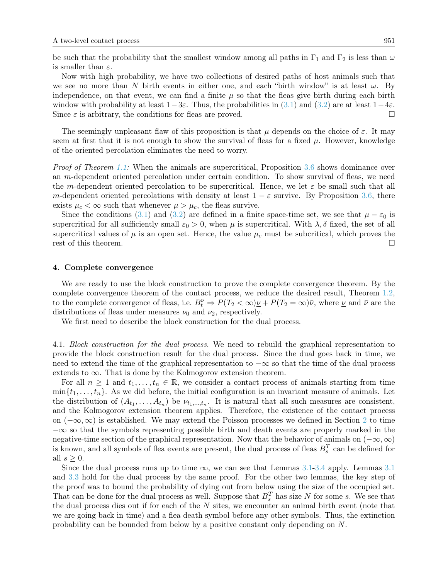be such that the probability that the smallest window among all paths in  $\Gamma_1$  and  $\Gamma_2$  is less than  $\omega$ is smaller than  $\varepsilon$ .

Now with high probability, we have two collections of desired paths of host animals such that we see no more than N birth events in either one, and each "birth window" is at least  $\omega$ . By independence, on that event, we can find a finite  $\mu$  so that the fleas give birth during each birth window with probability at least  $1-3\varepsilon$ . Thus, the probabilities in [\(3.1\)](#page-7-2) and [\(3.2\)](#page-7-3) are at least  $1-4\varepsilon$ . Since  $\varepsilon$  is arbitrary, the conditions for fleas are proved.

The seemingly unpleasant flaw of this proposition is that  $\mu$  depends on the choice of  $\varepsilon$ . It may seem at first that it is not enough to show the survival of fleas for a fixed  $\mu$ . However, knowledge of the oriented percolation eliminates the need to worry.

Proof of Theorem [1.1:](#page-2-0) When the animals are supercritical, Proposition [3.6](#page-7-0) shows dominance over an m-dependent oriented percolation under certain condition. To show survival of fleas, we need the m-dependent oriented percolation to be supercritical. Hence, we let  $\varepsilon$  be small such that all m-dependent oriented percolations with density at least  $1 - \varepsilon$  survive. By Proposition [3.6,](#page-7-0) there exists  $\mu_c < \infty$  such that whenever  $\mu > \mu_c$ , the fleas survive.

Since the conditions [\(3.1\)](#page-7-2) and [\(3.2\)](#page-7-3) are defined in a finite space-time set, we see that  $\mu - \varepsilon_0$  is supercritical for all sufficiently small  $\varepsilon_0 > 0$ , when  $\mu$  is supercritical. With  $\lambda$ ,  $\delta$  fixed, the set of all supercritical values of  $\mu$  is an open set. Hence, the value  $\mu_c$  must be subcritical, which proves the rest of this theorem.

#### <span id="page-8-0"></span>4. Complete convergence

We are ready to use the block construction to prove the complete convergence theorem. By the complete convergence theorem of the contact process, we reduce the desired result, Theorem [1.2,](#page-3-1) to the complete convergence of fleas, i.e.  $B_t^{\nu} \Rightarrow P(T_2 < \infty) \underline{\nu} + P(T_2 = \infty) \overline{\nu}$ , where  $\underline{\nu}$  and  $\overline{\nu}$  are the distributions of fleas under measures  $\nu_0$  and  $\nu_2$ , respectively.

We first need to describe the block construction for the dual process.

4.1. Block construction for the dual process. We need to rebuild the graphical representation to provide the block construction result for the dual process. Since the dual goes back in time, we need to extend the time of the graphical representation to  $-\infty$  so that the time of the dual process extends to  $\infty$ . That is done by the Kolmogorov extension theorem.

For all  $n \geq 1$  and  $t_1, \ldots, t_n \in \mathbb{R}$ , we consider a contact process of animals starting from time  $\min\{t_1,\ldots,t_n\}$ . As we did before, the initial configuration is an invariant measure of animals. Let the distribution of  $(A_{t_1},...,A_{t_n})$  be  $\nu_{t_1,...,t_n}$ . It is natural that all such measures are consistent, and the Kolmogorov extension theorem applies. Therefore, the existence of the contact process on  $(-\infty, \infty)$  is established. We may extend the Poisson processes we defined in Section [2](#page-3-0) to time  $-\infty$  so that the symbols representing possible birth and death events are properly marked in the negative-time section of the graphical representation. Now that the behavior of animals on  $(-\infty, \infty)$ is known, and all symbols of flea events are present, the dual process of fleas  $B_s^T$  can be defined for all  $s > 0$ .

Since the dual process runs up to time  $\infty$ , we can see that Lemmas [3.1-](#page-5-1)[3.4](#page-6-0) apply. Lemmas [3.1](#page-5-1) and [3.3](#page-6-1) hold for the dual process by the same proof. For the other two lemmas, the key step of the proof was to bound the probability of dying out from below using the size of the occupied set. That can be done for the dual process as well. Suppose that  $B_s^T$  has size N for some s. We see that the dual process dies out if for each of the  $N$  sites, we encounter an animal birth event (note that we are going back in time) and a flea death symbol before any other symbols. Thus, the extinction probability can be bounded from below by a positive constant only depending on N.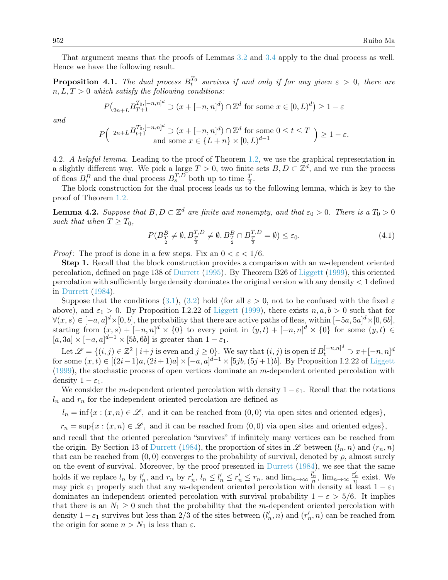That argument means that the proofs of Lemmas [3.2](#page-5-0) and [3.4](#page-6-0) apply to the dual process as well. Hence we have the following result.

**Proposition 4.1.** The dual process  $B_t^{T_0}$  survives if and only if for any given  $\varepsilon > 0$ , there are  $n, L, T > 0$  which satisfy the following conditions:

$$
P\left(\sum_{2n+L} B_{T+1}^{T_0,[-n,n]^d} \supset (x+[-n,n]^d) \cap \mathbb{Z}^d \text{ for some } x \in [0,L)^d\right) \ge 1-\varepsilon
$$

and

$$
P\left(\begin{array}{c}2n+LB_{t+1}^{T_0,[-n,n]^d}\supset (x+[-n,n]^d)\cap \mathbb{Z}^d\text{ for some }0\leq t\leq T\\ \text{ and some }x\in\{L+n\}\times[0,L)^{d-1}\end{array}\right)\geq 1-\varepsilon.
$$

4.2. A helpful lemma. Leading to the proof of Theorem [1.2,](#page-3-1) we use the graphical representation in a slightly different way. We pick a large  $T > 0$ , two finite sets  $B, D \subset \mathbb{Z}^d$ , and we run the process of fleas  $B_t^B$  and the dual process  $B_s^{T,D}$  both up to time  $\frac{T}{2}$ .

The block construction for the dual process leads us to the following lemma, which is key to the proof of Theorem [1.2.](#page-3-1)

<span id="page-9-1"></span>**Lemma 4.2.** Suppose that  $B, D \subset \mathbb{Z}^d$  are finite and nonempty, and that  $\varepsilon_0 > 0$ . There is a  $T_0 > 0$ such that when  $T \geq T_0$ ,

<span id="page-9-0"></span>
$$
P(B_{\frac{T}{2}}^B \neq \emptyset, B_{\frac{T}{2}}^{T,D} \neq \emptyset, B_{\frac{T}{2}}^B \cap B_{\frac{T}{2}}^{T,D} = \emptyset) \le \varepsilon_0.
$$
\n
$$
(4.1)
$$

*Proof*: The proof is done in a few steps. Fix an  $0 < \varepsilon < 1/6$ .

**Step 1.** Recall that the block construction provides a comparison with an  $m$ -dependent oriented percolation, defined on page 138 of [Durrett](#page-12-9) [\(1995\)](#page-12-9). By Theorem B26 of [Liggett](#page-12-7) [\(1999\)](#page-12-7), this oriented percolation with sufficiently large density dominates the original version with any density < 1 defined in [Durrett](#page-12-11) [\(1984\)](#page-12-11).

Suppose that the conditions [\(3.1\)](#page-7-2), [\(3.2\)](#page-7-3) hold (for all  $\varepsilon > 0$ , not to be confused with the fixed  $\varepsilon$ above), and  $\varepsilon_1 > 0$ . By Proposition I.2.22 of [Liggett](#page-12-7) [\(1999\)](#page-12-7), there exists  $n, a, b > 0$  such that for  $\forall (x, s) \in [-a, a]^d \times [0, b],$  the probability that there are active paths of fleas, within  $[-5a, 5a]^d \times [0, 6b],$ starting from  $(x, s) + [-n, n]^d \times \{0\}$  to every point in  $(y, t) + [-n, n]^d \times \{0\}$  for some  $(y, t) \in$  $[a, 3a] \times [-a, a]^{d-1} \times [5b, 6b]$  is greater than  $1 - \varepsilon_1$ .

Let  $\mathscr{L} = \{(i, j) \in \mathbb{Z}^2 \mid i + j \text{ is even and } j \ge 0\}$ . We say that  $(i, j)$  is open if  $B_t^{[-n, n]^d} \supset x + [-n, n]^d$ for some  $(x,t) \in [(2i-1)a,(2i+1)a] \times [-a,a]^{d-1} \times [5jb,(5j+1)b]$ . By Proposition I.2.22 of [Liggett](#page-12-7)  $(1999)$ , the stochastic process of open vertices dominate an m-dependent oriented percolation with density  $1 - \varepsilon_1$ .

We consider the m-dependent oriented percolation with density  $1 - \varepsilon_1$ . Recall that the notations  $l_n$  and  $r_n$  for the independent oriented percolation are defined as

 $l_n = \inf\{x : (x, n) \in \mathcal{L}, \text{ and it can be reached from } (0, 0) \text{ via open sites and oriented edges}\},\$ 

 $r_n = \sup\{x : (x, n) \in \mathcal{L}, \text{ and it can be reached from } (0, 0) \text{ via open sites and oriented edges}\},\$ 

and recall that the oriented percolation "survives" if infinitely many vertices can be reached from the origin. By Section 13 of [Durrett](#page-12-11) [\(1984\)](#page-12-11), the proportion of sites in  $\mathscr L$  between  $(l_n, n)$  and  $(r_n, n)$ that can be reached from  $(0, 0)$  converges to the probability of survival, denoted by  $\rho$ , almost surely on the event of survival. Moreover, by the proof presented in [Durrett](#page-12-11) [\(1984\)](#page-12-11), we see that the same holds if we replace  $l_n$  by  $l'_n$ , and  $r_n$  by  $r'_n$ ,  $l_n \leq l'_n \leq r'_n \leq r_n$ , and  $\lim_{n\to\infty} \frac{l'_n}{n}$ ,  $\lim_{n\to\infty} \frac{r'_n}{n}$  exist. We may pick  $\varepsilon_1$  properly such that any m-dependent oriented percolation with density at least  $1 - \varepsilon_1$ dominates an independent oriented percolation with survival probability  $1 - \varepsilon > 5/6$ . It implies that there is an  $N_1 \geq 0$  such that the probability that the m-dependent oriented percolation with density  $1-\varepsilon_1$  survives but less than 2/3 of the sites between  $(l'_n, n)$  and  $(r'_n, n)$  can be reached from the origin for some  $n > N_1$  is less than  $\varepsilon$ .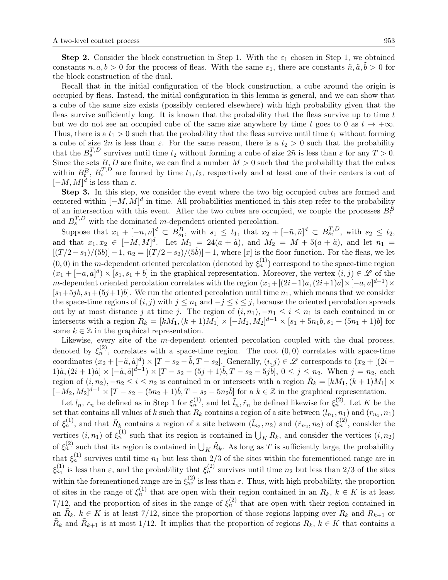**Step 2.** Consider the block construction in Step 1. With the  $\varepsilon_1$  chosen in Step 1, we obtained constants  $n, a, b > 0$  for the process of fleas. With the same  $\varepsilon_1$ , there are constants  $\tilde{n}, \tilde{a}, \tilde{b} > 0$  for the block construction of the dual.

Recall that in the initial configuration of the block construction, a cube around the origin is occupied by fleas. Instead, the initial configuration in this lemma is general, and we can show that a cube of the same size exists (possibly centered elsewhere) with high probability given that the fleas survive sufficiently long. It is known that the probability that the fleas survive up to time  $t$ but we do not see an occupied cube of the same size anywhere by time t goes to 0 as  $t \to +\infty$ . Thus, there is a  $t_1 > 0$  such that the probability that the fleas survive until time  $t_1$  without forming a cube of size  $2n$  is less than  $\varepsilon$ . For the same reason, there is a  $t_2 > 0$  such that the probability that the  $B_s^{T,D}$  survives until time  $t_2$  without forming a cube of size  $2\tilde{n}$  is less than  $\varepsilon$  for any  $T > 0$ . Since the sets  $B, D$  are finite, we can find a number  $M > 0$  such that the probability that the cubes within  $B_t^B$ ,  $B_s^{T,D}$  are formed by time  $t_1, t_2$ , respectively and at least one of their centers is out of  $[-M, M]^d$  is less than  $\varepsilon$ .

Step 3. In this step, we consider the event where the two big occupied cubes are formed and centered within  $[-M, M]^d$  in time. All probabilities mentioned in this step refer to the probability of an intersection with this event. After the two cubes are occupied, we couple the processes  $B_t^B$ and  $B_s^{T,D}$  with the dominated m-dependent oriented percolation.

Suppose that  $x_1 + [-n, n]^d \subset B_{s_1}^B$ , with  $s_1 \leq t_1$ , that  $x_2 + [-\tilde{n}, \tilde{n}]^d \subset B_{s_2}^{T,D}$ , with  $s_2 \leq t_2$ , and that  $x_1, x_2 \in [-M, M]^d$ . Let  $M_1 = 24(a + \tilde{a})$ , and  $M_2 = M + 5(a + \tilde{a})$ , and let  $n_1 =$  $[(T/2-s_1)/(5b)]-1, n_2 = [(T/2-s_2)/(5\tilde{b})]-1$ , where [x] is the floor function. For the fleas, we let  $(0,0)$  in the m-dependent oriented percolation (denoted by  $\xi_n^{(1)}$ ) correspond to the space-time region  $(x_1 + [-a, a]^d) \times [s_1, s_1 + b]$  in the graphical representation. Moreover, the vertex  $(i, j) \in \mathscr{L}$  of the m-dependent oriented percolation correlates with the region  $(x_1 + [(2i-1)a, (2i+1)a] \times [-a, a]^{d-1}) \times$  $[s_1+5jb, s_1+(5j+1)b]$ . We run the oriented percolation until time  $n_1$ , which means that we consider the space-time regions of  $(i, j)$  with  $j \leq n_1$  and  $-j \leq i \leq j$ , because the oriented percolation spreads out by at most distance j at time j. The region of  $(i, n_1)$ ,  $-n_1 \leq i \leq n_1$  is each contained in or intersects with a region  $R_k = [kM_1, (k+1)M_1] \times [-M_2, M_2]^{d-1} \times [s_1 + 5n_1b, s_1 + (5n_1 + 1)b]$  for some  $k \in \mathbb{Z}$  in the graphical representation.

Likewise, every site of the m-dependent oriented percolation coupled with the dual process, denoted by  $\xi_n^{(2)}$ , correlates with a space-time region. The root  $(0,0)$  correlates with space-time coordinates  $(x_2 + [-\tilde{a}, \tilde{a}]^d) \times [T - s_2 - \tilde{b}, T - s_2]$ . Generally,  $(i, j) \in \mathscr{L}$  corresponds to  $(x_2 + [(2i - j)]^d)$  $1)\tilde{a},(2i+1)\tilde{a}]\times[-\tilde{a},\tilde{a}]^{\tilde{d}-1}\times[T-s_2-(5j+1)\tilde{b},T-s_2-5j\tilde{b}], 0\leq j\leq n_2.$  When  $j=n_2$ , each region of  $(i, n_2)$ ,  $-n_2 \le i \le n_2$  is contained in or intersects with a region  $\tilde{R}_k = [kM_1, (k+1)M_1] \times$  $[-M_2, M_2]^{d-1} \times [T - s_2 - (5n_2 + 1)\tilde{b}, T - s_2 - 5n_2\tilde{b}]$  for a  $k \in \mathbb{Z}$  in the graphical representation.

Let  $l_n$ ,  $r_n$  be defined as in Step 1 for  $\xi_n^{(1)}$ , and let  $\tilde{l}_n, \tilde{r}_n$  be defined likewise for  $\xi_n^{(2)}$ . Let K be the set that contains all values of k such that  $R_k$  contains a region of a site between  $(l_{n_1}, n_1)$  and  $(r_{n_1}, n_1)$ of  $\xi_n^{(1)}$ , and that  $\tilde{R}_k$  contains a region of a site between  $(\tilde{l}_{n_2}, n_2)$  and  $(\tilde{r}_{n_2}, n_2)$  of  $\xi_n^{(2)}$ , consider the vertices  $(i, n_1)$  of  $\xi_n^{(1)}$  such that its region is contained in  $\bigcup_K R_k$ , and consider the vertices  $(i, n_2)$ of  $\xi_n^{(2)}$  such that its region is contained in  $\bigcup_K \tilde{R}_k$ . As long as T is sufficiently large, the probability that  $\xi_n^{(1)}$  survives until time  $n_1$  but less than 2/3 of the sites within the forementioned range are in  $\xi_{n_1}^{(1)}$  is less than  $\varepsilon$ , and the probability that  $\xi_n^{(2)}$  survives until time  $n_2$  but less than  $2/3$  of the sites within the forementioned range are in  $\xi_{n_2}^{(2)}$  is less than  $\varepsilon$ . Thus, with high probability, the proportion of sites in the range of  $\xi_n^{(1)}$  that are open with their region contained in an  $R_k$ ,  $k \in K$  is at least 7/12, and the proportion of sites in the range of  $\xi_n^{(2)}$  that are open with their region contained in an  $\tilde{R}_k, k \in K$  is at least 7/12, since the proportion of those regions lapping over  $R_k$  and  $R_{k+1}$  or  $\tilde{R}_k$  and  $\tilde{R}_{k+1}$  is at most 1/12. It implies that the proportion of regions  $R_k$ ,  $k \in K$  that contains a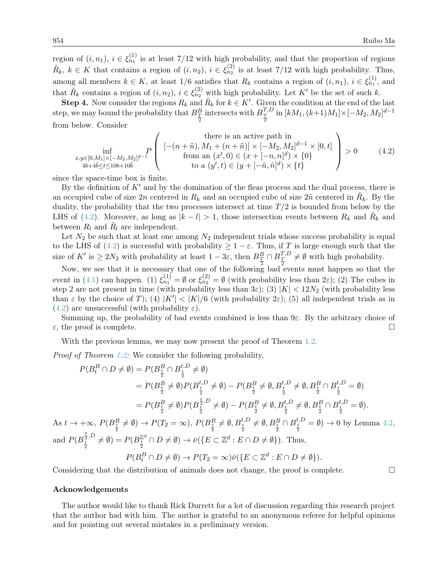region of  $(i, n_1)$ ,  $i \in \xi_{n_1}^{(1)}$  is at least 7/12 with high probability, and that the proportion of regions  $\tilde{R}_k, k \in K$  that contains a region of  $(i, n_2), i \in \xi_{n_2}^{(2)}$  is at least 7/12 with high probability. Thus, among all members  $k \in K$ , at least 1/6 satisfies that  $R_k$  contains a region of  $(i, n_1)$ ,  $i \in \xi_{n_1}^{(1)}$ , and that  $\tilde{R}_k$  contains a region of  $(i, n_2)$ ,  $i \in \xi_{n_2}^{(2)}$  with high probability. Let K' be the set of such k.

**Step 4.** Now consider the regions  $R_k$  and  $\tilde{R}_k$  for  $k \in K'$ . Given the condition at the end of the last step, we may bound the probability that  $B_{\frac{T}{2}}^{B}$  intersects with  $B_{\frac{T}{2}}^{T,D}$  in  $[kM_1,(k+1)M_1] \times [-M_2, M_2]^{d-1}$ from below. Consider

<span id="page-11-0"></span>
$$
\inf_{\substack{x,y\in[0,M_1]\times[-M_2,M_2]_q^{d-1} \\ 4b+4\tilde{b}\leq t\leq 10b+10\tilde{b}}} \left\{ \begin{array}{c} \text{there is an active path in} \\ \left[ -(n+\tilde{n}), M_1 + (n+\tilde{n}) \right] \times [-M_2, M_2]^{d-1} \times [0,t] \\ \text{from an } (x',0) \in (x+[-n,n]^d) \times \{0\} \\ \text{to a } (y',t) \in (y+[-\tilde{n},\tilde{n}]^d) \times \{t\} \end{array} \right\} > 0 \tag{4.2}
$$

since the space-time box is finite.

By the definition of  $K'$  and by the domination of the fleas process and the dual process, there is an occupied cube of size  $2n$  centered in  $R_k$  and an occupied cube of size  $2n$  centered in  $\tilde{R}_k$ . By the duality, the probability that the two processes intersect at time  $T/2$  is bounded from below by the LHS of [\(4.2\)](#page-11-0). Moreover, as long as  $|k - l| > 1$ , those intersection events between  $R_k$  and  $\tilde{R}_k$  and between  $R_l$  and  $\tilde{R}_l$  are independent.

Let  $N_2$  be such that at least one among  $N_2$  independent trials whose success probability is equal to the LHS of [\(4.2\)](#page-11-0) is successful with probability  $\geq 1 - \varepsilon$ . Thus, if T is large enough such that the size of K' is  $\geq 2N_2$  with probability at least  $1-3\varepsilon$ , then  $B_{\frac{T}{2}}^B \cap B_{\frac{T}{2}}^{T,D} \neq \emptyset$  with high probability.

Now, we see that it is necessary that one of the following bad events must happen so that the event in [\(4.1\)](#page-9-0) can happen. (1)  $\xi_{n_1}^{(1)} = \emptyset$  or  $\xi_{n_2}^{(2)} = \emptyset$  (with probability less than  $2\varepsilon$ ); (2) The cubes in step 2 are not present in time (with probability less than  $3\varepsilon$ ); (3)  $|K| < 12N_2$  (with probability less than  $\varepsilon$  by the choice of T); (4)  $|K'| < |K|/6$  (with probability  $2\varepsilon$ ); (5) all independent trials as in  $(4.2)$  are unsuccessful (with probability  $\varepsilon$ ).

Summing up, the probability of bad events combined is less than  $9\varepsilon$ . By the arbitrary choice of  $\varepsilon$ , the proof is complete.

With the previous lemma, we may now present the proof of Theorem [1.2.](#page-3-1)

Proof of Theorem [1.2:](#page-3-1) We consider the following probability,

$$
P(B_t^B \cap D \neq \emptyset) = P(B_{\frac{t}{2}}^B \cap B_{\frac{t}{2}}^{t,D} \neq \emptyset)
$$
  
\n
$$
= P(B_{\frac{t}{2}}^B \neq \emptyset)P(B_{\frac{t}{2}}^{t,D} \neq \emptyset) - P(B_{\frac{t}{2}}^B \neq \emptyset, B_{\frac{t}{2}}^{t,D} \neq \emptyset, B_{\frac{t}{2}}^B \cap B_{\frac{t}{2}}^{t,D} = \emptyset)
$$
  
\n
$$
= P(B_{\frac{t}{2}}^B \neq \emptyset)P(B_{\frac{t}{2}}^{\frac{t}{2},D} \neq \emptyset) - P(B_{\frac{t}{2}}^B \neq \emptyset, B_{\frac{t}{2}}^{t,D} \neq \emptyset, B_{\frac{t}{2}}^B \cap B_{\frac{t}{2}}^{t,D} = \emptyset).
$$
  
\nAs  $t \to +\infty$ ,  $P(B_{\frac{t}{2}}^B \neq \emptyset) \to P(T_2 = \infty)$ ,  $P(B_{\frac{t}{2}}^B \neq \emptyset, B_{\frac{t}{2}}^{t,D} \neq \emptyset, B_{\frac{t}{2}}^B \cap B_{\frac{t}{2}}^{t,D} = \emptyset) \to 0$  by Lemma 4.2,  
\nand  $P(B_{\frac{t}{2}}^{\frac{t}{2},D} \neq \emptyset) = P(B_{\frac{t}{2}}^{\mathbb{Z}^d} \cap D \neq \emptyset) \to \bar{\nu}(\lbrace E \subset \mathbb{Z}^d : E \cap D \neq \emptyset \rbrace)$ . Thus,  
\n $P(B_t^B \cap D \neq \emptyset) \to P(T_2 = \infty) \bar{\nu}(\lbrace E \subset \mathbb{Z}^d : E \cap D \neq \emptyset \rbrace).$ 

Considering that the distribution of animals does not change, the proof is complete.  $\Box$ 

#### Acknowledgements

and

The author would like to thank Rick Durrett for a lot of discussion regarding this research project that the author had with him. The author is grateful to an anonymous referee for helpful opinions and for pointing out several mistakes in a preliminary version.